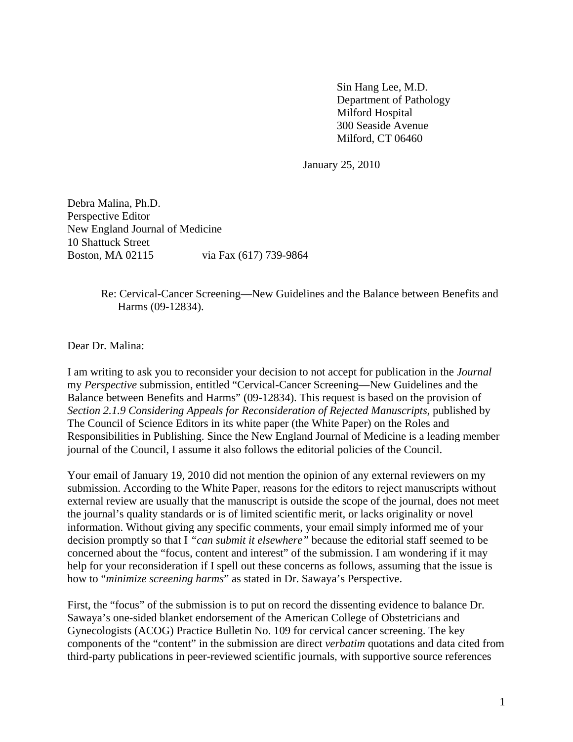Sin Hang Lee, M.D. Department of Pathology Milford Hospital 300 Seaside Avenue Milford, CT 06460

January 25, 2010

Debra Malina, Ph.D. Perspective Editor New England Journal of Medicine 10 Shattuck Street Boston, MA 02115 via Fax (617) 739-9864

## Re: Cervical-Cancer Screening—New Guidelines and the Balance between Benefits and Harms (09-12834).

Dear Dr. Malina:

I am writing to ask you to reconsider your decision to not accept for publication in the *Journal*  my *Perspective* submission, entitled "Cervical-Cancer Screening—New Guidelines and the Balance between Benefits and Harms" (09-12834). This request is based on the provision of *Section 2.1.9 Considering Appeals for Reconsideration of Rejected Manuscripts, published by* The Council of Science Editors in its white paper (the White Paper) on the Roles and Responsibilities in Publishing. Since the New England Journal of Medicine is a leading member journal of the Council, I assume it also follows the editorial policies of the Council.

Your email of January 19, 2010 did not mention the opinion of any external reviewers on my submission. According to the White Paper, reasons for the editors to reject manuscripts without external review are usually that the manuscript is outside the scope of the journal, does not meet the journal's quality standards or is of limited scientific merit, or lacks originality or novel information. Without giving any specific comments, your email simply informed me of your decision promptly so that I *"can submit it elsewhere"* because the editorial staff seemed to be concerned about the "focus, content and interest" of the submission. I am wondering if it may help for your reconsideration if I spell out these concerns as follows, assuming that the issue is how to "*minimize screening harms*" as stated in Dr. Sawaya's Perspective.

First, the "focus" of the submission is to put on record the dissenting evidence to balance Dr. Sawaya's one-sided blanket endorsement of the American College of Obstetricians and Gynecologists (ACOG) Practice Bulletin No. 109 for cervical cancer screening. The key components of the "content" in the submission are direct *verbatim* quotations and data cited from third-party publications in peer-reviewed scientific journals, with supportive source references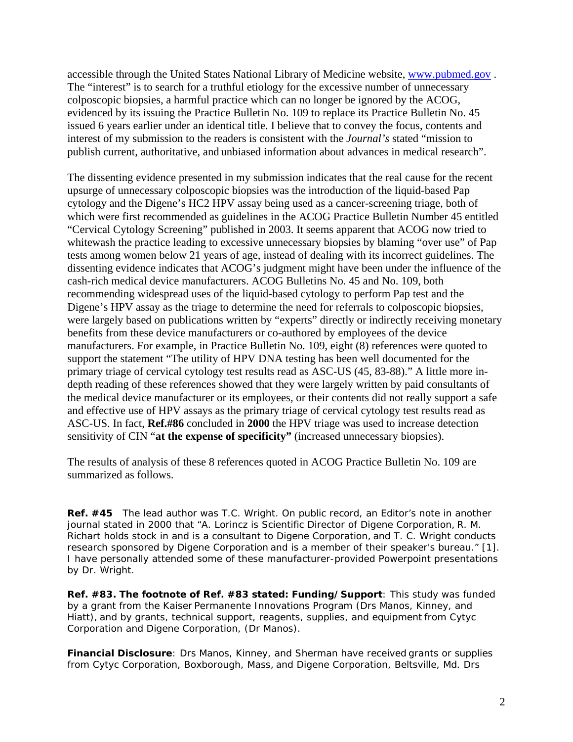accessible through the United States National Library of Medicine website, [www.pubmed.gov](http://www.pubmed.gov/) . The "interest" is to search for a truthful etiology for the excessive number of unnecessary colposcopic biopsies, a harmful practice which can no longer be ignored by the ACOG, evidenced by its issuing the Practice Bulletin No. 109 to replace its Practice Bulletin No. 45 issued 6 years earlier under an identical title. I believe that to convey the focus, contents and interest of my submission to the readers is consistent with the *Journal's* stated "mission to publish current, authoritative, and unbiased information about advances in medical research".

The dissenting evidence presented in my submission indicates that the real cause for the recent upsurge of unnecessary colposcopic biopsies was the introduction of the liquid-based Pap cytology and the Digene's HC2 HPV assay being used as a cancer-screening triage, both of which were first recommended as guidelines in the ACOG Practice Bulletin Number 45 entitled "Cervical Cytology Screening" published in 2003. It seems apparent that ACOG now tried to whitewash the practice leading to excessive unnecessary biopsies by blaming "over use" of Pap tests among women below 21 years of age, instead of dealing with its incorrect guidelines. The dissenting evidence indicates that ACOG's judgment might have been under the influence of the cash-rich medical device manufacturers. ACOG Bulletins No. 45 and No. 109, both recommending widespread uses of the liquid-based cytology to perform Pap test and the Digene's HPV assay as the triage to determine the need for referrals to colposcopic biopsies, were largely based on publications written by "experts" directly or indirectly receiving monetary benefits from these device manufacturers or co-authored by employees of the device manufacturers. For example, in Practice Bulletin No. 109, eight (8) references were quoted to support the statement "The utility of HPV DNA testing has been well documented for the primary triage of cervical cytology test results read as ASC-US (45, 83-88)." A little more indepth reading of these references showed that they were largely written by paid consultants of the medical device manufacturer or its employees, or their contents did not really support a safe and effective use of HPV assays as the primary triage of cervical cytology test results read as ASC-US. In fact, **Ref.#86** concluded in **2000** the HPV triage was used to increase detection sensitivity of CIN "**at the expense of specificity"** (increased unnecessary biopsies).

The results of analysis of these 8 references quoted in ACOG Practice Bulletin No. 109 are summarized as follows.

**Ref. #45** The lead author was T.C. Wright. On public record, an Editor's note in another journal stated in 2000 that "*A. Lorincz is Scientific Director of Digene Corporation, R. M. Richart holds stock in and is a consultant to Digene Corporation, and T. C. Wright conducts research sponsored by Digene Corporation and is a member of their speaker's bureau."* [1]. I have personally attended some of these manufacturer-provided Powerpoint presentations by Dr. Wright.

**Ref. #83. The footnote of Ref. #83 stated: Funding/Support**: This study was funded by a grant from the Kaiser Permanente Innovations Program (Drs Manos, Kinney, and Hiatt), and by grants, technical support, reagents, supplies, and equipment from Cytyc Corporation and Digene Corporation, (Dr Manos).

**Financial Disclosure**: Drs Manos, Kinney, and Sherman have received grants or supplies from Cytyc Corporation, Boxborough, Mass, and Digene Corporation, Beltsville, Md. Drs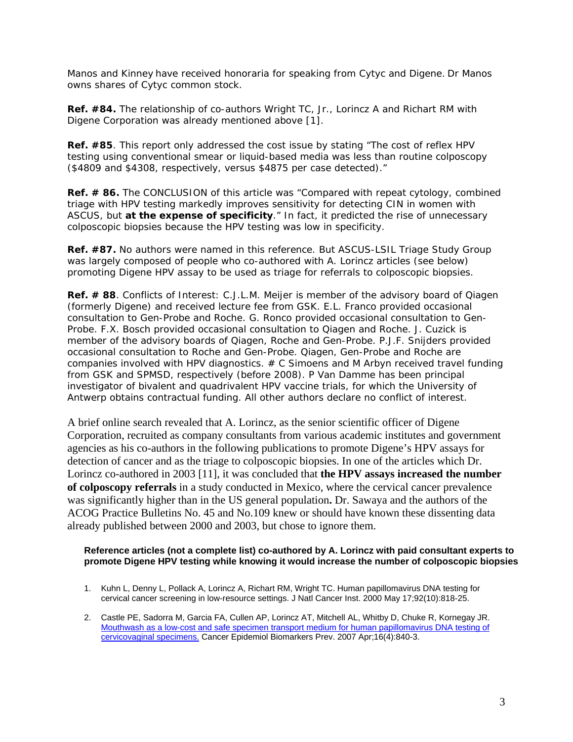Manos and Kinney have received honoraria for speaking from Cytyc and Digene. Dr Manos owns shares of Cytyc common stock.

**Ref. #84.** The relationship of co-authors Wright TC, Jr., Lorincz A and Richart RM with Digene Corporation was already mentioned above [1].

**Ref. #85**. This report only addressed the cost issue by stating "The cost of reflex HPV testing using conventional smear or liquid-based media was less than routine colposcopy (\$4809 and \$4308, respectively, versus \$4875 per case detected)."

**Ref. # 86.** The CONCLUSION of this article was "Compared with repeat cytology, combined triage with HPV testing markedly improves sensitivity for detecting CIN in women with ASCUS, but **at the expense of specificity**." In fact, it predicted the rise of unnecessary colposcopic biopsies because the HPV testing was low in specificity.

**Ref. #87.** No authors were named in this reference. But ASCUS-LSIL Triage Study Group was largely composed of people who co-authored with A. Lorincz articles (see below) promoting Digene HPV assay to be used as triage for referrals to colposcopic biopsies.

**Ref. # 88**. Conflicts of Interest: C.J.L.M. Meijer is member of the advisory board of Qiagen (formerly Digene) and received lecture fee from GSK. E.L. Franco provided occasional consultation to Gen-Probe and Roche. G. Ronco provided occasional consultation to Gen-Probe. F.X. Bosch provided occasional consultation to Qiagen and Roche. J. Cuzick is member of the advisory boards of Qiagen, Roche and Gen-Probe. P.J.F. Snijders provided occasional consultation to Roche and Gen-Probe. Qiagen, Gen-Probe and Roche are companies involved with HPV diagnostics.  $# C$  Simoens and M Arbyn received travel funding from GSK and SPMSD, respectively (before 2008). P Van Damme has been principal investigator of bivalent and quadrivalent HPV vaccine trials, for which the University of Antwerp obtains contractual funding. All other authors declare no conflict of interest.

A brief online search revealed that A. Lorincz, as the senior scientific officer of Digene Corporation, recruited as company consultants from various academic institutes and government agencies as his co-authors in the following publications to promote Digene's HPV assays for detection of cancer and as the triage to colposcopic biopsies. In one of the articles which Dr. Lorincz co-authored in 2003 [11], it was concluded that **the HPV assays increased the number of colposcopy referrals** in a study conducted in Mexico, where the cervical cancer prevalence was significantly higher than in the US general population**.** Dr. Sawaya and the authors of the ACOG Practice Bulletins No. 45 and No.109 knew or should have known these dissenting data already published between 2000 and 2003, but chose to ignore them.

## **Reference articles (not a complete list) co-authored by A. Lorincz with paid consultant experts to promote Digene HPV testing while knowing it would increase the number of colposcopic biopsies**

- 1. Kuhn L, Denny L, Pollack A, Lorincz A, Richart RM, Wright TC. [Human papillomavirus DNA testing for](http://www.ncbi.nlm.nih.gov/pubmed/10814677?itool=EntrezSystem2.PEntrez.Pubmed.Pubmed_ResultsPanel.Pubmed_RVDocSum&ordinalpos=3)  [cervical cancer screening in low-resource settings.](http://www.ncbi.nlm.nih.gov/pubmed/10814677?itool=EntrezSystem2.PEntrez.Pubmed.Pubmed_ResultsPanel.Pubmed_RVDocSum&ordinalpos=3) J Natl Cancer Inst. 2000 May 17;92(10):818-25.
- 2. Castle PE, Sadorra M, Garcia FA, Cullen AP, Lorincz AT, Mitchell AL, Whitby D, Chuke R, Kornegay JR. [Mouthwash as a low-cost and safe specimen transport medium for human papillomavirus DNA testing of](http://www.ncbi.nlm.nih.gov/pubmed/17416781?itool=EntrezSystem2.PEntrez.Pubmed.Pubmed_ResultsPanel.Pubmed_RVDocSum&ordinalpos=25)  [cervicovaginal specimens.](http://www.ncbi.nlm.nih.gov/pubmed/17416781?itool=EntrezSystem2.PEntrez.Pubmed.Pubmed_ResultsPanel.Pubmed_RVDocSum&ordinalpos=25) Cancer Epidemiol Biomarkers Prev. 2007 Apr;16(4):840-3.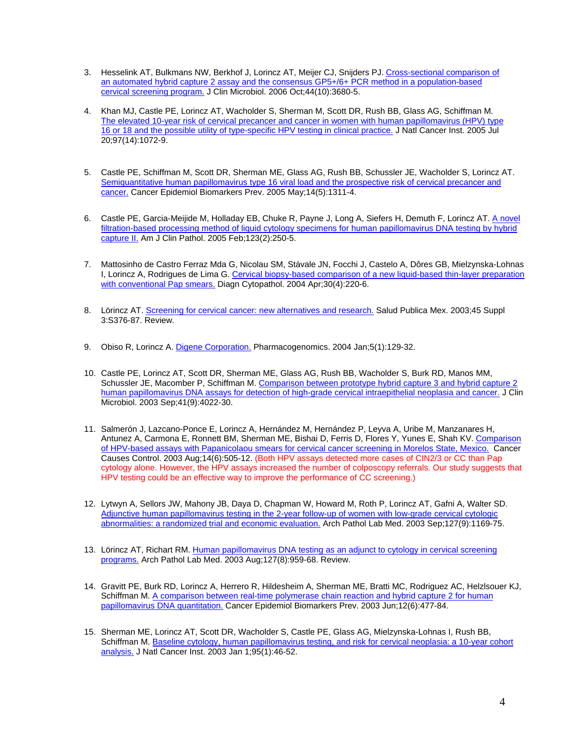- 3. Hesselink AT, Bulkmans NW, Berkhof J, Lorincz AT, Meijer CJ, Snijders PJ. [Cross-sectional comparison of](http://www.ncbi.nlm.nih.gov/pubmed/17021097?itool=EntrezSystem2.PEntrez.Pubmed.Pubmed_ResultsPanel.Pubmed_RVDocSum&ordinalpos=35)  [an automated hybrid capture 2 assay and the consensus GP5+/6+ PCR method in a population-based](http://www.ncbi.nlm.nih.gov/pubmed/17021097?itool=EntrezSystem2.PEntrez.Pubmed.Pubmed_ResultsPanel.Pubmed_RVDocSum&ordinalpos=35)  [cervical screening program.](http://www.ncbi.nlm.nih.gov/pubmed/17021097?itool=EntrezSystem2.PEntrez.Pubmed.Pubmed_ResultsPanel.Pubmed_RVDocSum&ordinalpos=35) J Clin Microbiol. 2006 Oct;44(10):3680-5.
- 4. Khan MJ, Castle PE, Lorincz AT, Wacholder S, Sherman M, Scott DR, Rush BB, Glass AG, Schiffman M. [The elevated 10-year risk of cervical precancer and cancer in women with human papillomavirus \(HPV\) type](http://www.ncbi.nlm.nih.gov/pubmed/16030305?itool=EntrezSystem2.PEntrez.Pubmed.Pubmed_ResultsPanel.Pubmed_RVDocSum&ordinalpos=51)  [16 or 18 and the possible utility of type-specific HPV testing in clinical practice.](http://www.ncbi.nlm.nih.gov/pubmed/16030305?itool=EntrezSystem2.PEntrez.Pubmed.Pubmed_ResultsPanel.Pubmed_RVDocSum&ordinalpos=51) J Natl Cancer Inst. 2005 Jul 20;97(14):1072-9.
- 5. Castle PE, Schiffman M, Scott DR, Sherman ME, Glass AG, Rush BB, Schussler JE, Wacholder S, Lorincz AT. Semiquantitative human papillomavirus type 16 viral load and the prospective risk of cervical precancer and [cancer.](http://www.ncbi.nlm.nih.gov/pubmed/15894692?itool=EntrezSystem2.PEntrez.Pubmed.Pubmed_ResultsPanel.Pubmed_RVDocSum&ordinalpos=53) Cancer Epidemiol Biomarkers Prev. 2005 May;14(5):1311-4.
- 6. Castle PE, Garcia-Meijide M, Holladay EB, Chuke R, Payne J, Long A, Siefers H, Demuth F, Lorincz AT. [A novel](http://www.ncbi.nlm.nih.gov/pubmed/15842050?itool=EntrezSystem2.PEntrez.Pubmed.Pubmed_ResultsPanel.Pubmed_RVDocSum&ordinalpos=55)  filtration-based processing method of liquid cytology specimens for human papillomavirus DNA testing by hybrid [capture II.](http://www.ncbi.nlm.nih.gov/pubmed/15842050?itool=EntrezSystem2.PEntrez.Pubmed.Pubmed_ResultsPanel.Pubmed_RVDocSum&ordinalpos=55) Am J Clin Pathol. 2005 Feb;123(2):250-5.
- 7. Mattosinho de Castro Ferraz Mda G, Nicolau SM, Stávale JN, Focchi J, Castelo A, Dôres GB, Mielzynska-Lohnas I, Lorincz A, Rodrigues de Lima G. [Cervical biopsy-based comparison of a new liquid-based thin-layer preparation](http://www.ncbi.nlm.nih.gov/pubmed/15048954?itool=EntrezSystem2.PEntrez.Pubmed.Pubmed_ResultsPanel.Pubmed_RVDocSum&ordinalpos=64)  [with conventional Pap smears.](http://www.ncbi.nlm.nih.gov/pubmed/15048954?itool=EntrezSystem2.PEntrez.Pubmed.Pubmed_ResultsPanel.Pubmed_RVDocSum&ordinalpos=64) Diagn Cytopathol. 2004 Apr;30(4):220-6.
- 8. Lörincz AT. [Screening for cervical cancer: new alternatives and research.](http://www.ncbi.nlm.nih.gov/pubmed/14746031?itool=EntrezSystem2.PEntrez.Pubmed.Pubmed_ResultsPanel.Pubmed_RVDocSum&ordinalpos=67) Salud Publica Mex. 2003;45 Suppl 3:S376-87. Review.
- 9. Obiso R, Lorincz A. [Digene Corporation.](http://www.ncbi.nlm.nih.gov/pubmed/14683424?itool=EntrezSystem2.PEntrez.Pubmed.Pubmed_ResultsPanel.Pubmed_RVDocSum&ordinalpos=68) Pharmacogenomics. 2004 Jan;5(1):129-32.
- 10. Castle PE, Lorincz AT, Scott DR, Sherman ME, Glass AG, Rush BB, Wacholder S, Burk RD, Manos MM, Schussler JE, Macomber P, Schiffman M. [Comparison between prototype hybrid capture 3 and hybrid capture 2](http://www.ncbi.nlm.nih.gov/pubmed/12958220?itool=EntrezSystem2.PEntrez.Pubmed.Pubmed_ResultsPanel.Pubmed_RVDocSum&ordinalpos=71)  [human papillomavirus DNA assays for detection of high-grade cervical intraepithelial neoplasia and cancer.](http://www.ncbi.nlm.nih.gov/pubmed/12958220?itool=EntrezSystem2.PEntrez.Pubmed.Pubmed_ResultsPanel.Pubmed_RVDocSum&ordinalpos=71) J Clin Microbiol. 2003 Sep;41(9):4022-30.
- 11. Salmerón J, Lazcano-Ponce E, Lorincz A, Hernández M, Hernández P, Leyva A, Uribe M, Manzanares H, Antunez A, Carmona E, Ronnett BM, Sherman ME, Bishai D, Ferris D, Flores Y, Yunes E, Shah KV. [Comparison](http://www.ncbi.nlm.nih.gov/pubmed/12948281?itool=EntrezSystem2.PEntrez.Pubmed.Pubmed_ResultsPanel.Pubmed_RVDocSum&ordinalpos=72)  [of HPV-based assays with Papanicolaou smears for cervical cancer screening in Morelos State, Mexico.](http://www.ncbi.nlm.nih.gov/pubmed/12948281?itool=EntrezSystem2.PEntrez.Pubmed.Pubmed_ResultsPanel.Pubmed_RVDocSum&ordinalpos=72) Cancer Causes Control. 2003 Aug;14(6):505-12. (Both HPV assays detected more cases of CIN2/3 or CC than Pap cytology alone. However, the HPV assays increased the number of colposcopy referrals. Our study suggests that HPV testing could be an effective way to improve the performance of CC screening.)
- 12. Lytwyn A, Sellors JW, Mahony JB, Daya D, Chapman W, Howard M, Roth P, Lorincz AT, Gafni A, Walter SD. [Adjunctive human papillomavirus testing in the 2-year follow-up of women with low-grade cervical cytologic](http://www.ncbi.nlm.nih.gov/pubmed/12946228?itool=EntrezSystem2.PEntrez.Pubmed.Pubmed_ResultsPanel.Pubmed_RVDocSum&ordinalpos=73)  [abnormalities: a randomized trial and economic evaluation.](http://www.ncbi.nlm.nih.gov/pubmed/12946228?itool=EntrezSystem2.PEntrez.Pubmed.Pubmed_ResultsPanel.Pubmed_RVDocSum&ordinalpos=73) Arch Pathol Lab Med. 2003 Sep;127(9):1169-75.
- 13. Lörincz AT, Richart RM. [Human papillomavirus DNA testing as an adjunct to cytology in cervical screening](http://www.ncbi.nlm.nih.gov/pubmed/12873167?itool=EntrezSystem2.PEntrez.Pubmed.Pubmed_ResultsPanel.Pubmed_RVDocSum&ordinalpos=75)  [programs.](http://www.ncbi.nlm.nih.gov/pubmed/12873167?itool=EntrezSystem2.PEntrez.Pubmed.Pubmed_ResultsPanel.Pubmed_RVDocSum&ordinalpos=75) Arch Pathol Lab Med. 2003 Aug;127(8):959-68. Review.
- 14. Gravitt PE, Burk RD, Lorincz A, Herrero R, Hildesheim A, Sherman ME, Bratti MC, Rodriguez AC, Helzlsouer KJ, Schiffman M. [A comparison between real-time polymerase chain reaction and hybrid capture 2 for human](http://www.ncbi.nlm.nih.gov/pubmed/12814990?itool=EntrezSystem2.PEntrez.Pubmed.Pubmed_ResultsPanel.Pubmed_RVDocSum&ordinalpos=76)  [papillomavirus DNA quantitation.](http://www.ncbi.nlm.nih.gov/pubmed/12814990?itool=EntrezSystem2.PEntrez.Pubmed.Pubmed_ResultsPanel.Pubmed_RVDocSum&ordinalpos=76) Cancer Epidemiol Biomarkers Prev. 2003 Jun;12(6):477-84.
- 15. Sherman ME, Lorincz AT, Scott DR, Wacholder S, Castle PE, Glass AG, Mielzynska-Lohnas I, Rush BB, Schiffman M. [Baseline cytology, human papillomavirus testing, and risk for cervical neoplasia: a 10-year cohort](http://www.ncbi.nlm.nih.gov/pubmed/12509400?itool=EntrezSystem2.PEntrez.Pubmed.Pubmed_ResultsPanel.Pubmed_RVDocSum&ordinalpos=83)  [analysis.](http://www.ncbi.nlm.nih.gov/pubmed/12509400?itool=EntrezSystem2.PEntrez.Pubmed.Pubmed_ResultsPanel.Pubmed_RVDocSum&ordinalpos=83) J Natl Cancer Inst. 2003 Jan 1;95(1):46-52.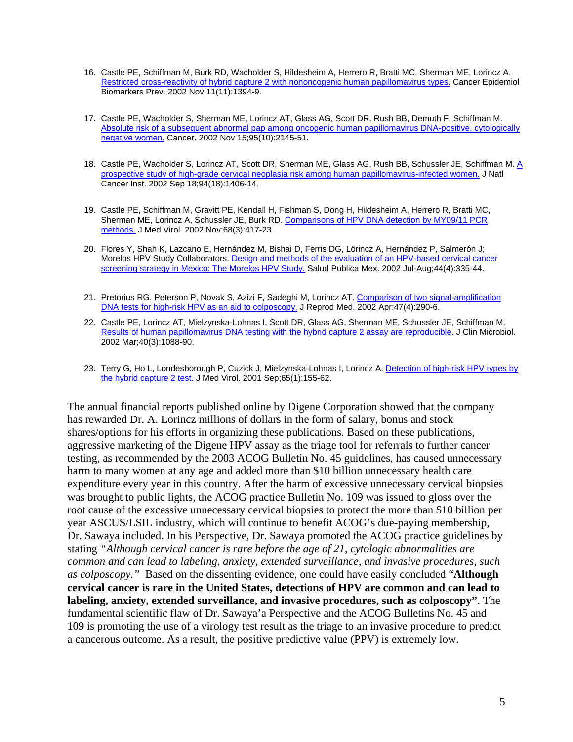- 16. Castle PE, Schiffman M, Burk RD, Wacholder S, Hildesheim A, Herrero R, Bratti MC, Sherman ME, Lorincz A. [Restricted cross-reactivity of hybrid capture 2 with nononcogenic human papillomavirus types.](http://www.ncbi.nlm.nih.gov/pubmed/12433717?itool=EntrezSystem2.PEntrez.Pubmed.Pubmed_ResultsPanel.Pubmed_RVDocSum&ordinalpos=84) Cancer Epidemiol Biomarkers Prev. 2002 Nov;11(11):1394-9.
- 17. Castle PE, Wacholder S, Sherman ME, Lorincz AT, Glass AG, Scott DR, Rush BB, Demuth F, Schiffman M. [Absolute risk of a subsequent abnormal pap among oncogenic human papillomavirus DNA-positive, cytologically](http://www.ncbi.nlm.nih.gov/pubmed/12412168?itool=EntrezSystem2.PEntrez.Pubmed.Pubmed_ResultsPanel.Pubmed_RVDocSum&ordinalpos=85)  [negative women.](http://www.ncbi.nlm.nih.gov/pubmed/12412168?itool=EntrezSystem2.PEntrez.Pubmed.Pubmed_ResultsPanel.Pubmed_RVDocSum&ordinalpos=85) Cancer. 2002 Nov 15;95(10):2145-51.
- 18. Castle PE, Wacholder S, Lorincz AT, Scott DR, Sherman ME, Glass AG, Rush BB, Schussler JE, Schiffman M. [A](http://www.ncbi.nlm.nih.gov/pubmed/12237286?itool=EntrezSystem2.PEntrez.Pubmed.Pubmed_ResultsPanel.Pubmed_RVDocSum&ordinalpos=89)  [prospective study of high-grade cervical neoplasia risk among human papillomavirus-infected women.](http://www.ncbi.nlm.nih.gov/pubmed/12237286?itool=EntrezSystem2.PEntrez.Pubmed.Pubmed_ResultsPanel.Pubmed_RVDocSum&ordinalpos=89) J Natl Cancer Inst. 2002 Sep 18;94(18):1406-14.
- 19. Castle PE, Schiffman M, Gravitt PE, Kendall H, Fishman S, Dong H, Hildesheim A, Herrero R, Bratti MC, Sherman ME, Lorincz A, Schussler JE, Burk RD. [Comparisons of HPV DNA detection by MY09/11 PCR](http://www.ncbi.nlm.nih.gov/pubmed/12226831?itool=EntrezSystem2.PEntrez.Pubmed.Pubmed_ResultsPanel.Pubmed_RVDocSum&ordinalpos=90)  [methods.](http://www.ncbi.nlm.nih.gov/pubmed/12226831?itool=EntrezSystem2.PEntrez.Pubmed.Pubmed_ResultsPanel.Pubmed_RVDocSum&ordinalpos=90) J Med Virol. 2002 Nov;68(3):417-23.
- 20. Flores Y, Shah K, Lazcano E, Hernández M, Bishai D, Ferris DG, Lörincz A, Hernández P, Salmerón J; Morelos HPV Study Collaborators. [Design and methods of the evaluation of an HPV-based cervical cancer](http://www.ncbi.nlm.nih.gov/pubmed/12216521?itool=EntrezSystem2.PEntrez.Pubmed.Pubmed_ResultsPanel.Pubmed_RVDocSum&ordinalpos=92)  [screening strategy in Mexico: The Morelos HPV Study.](http://www.ncbi.nlm.nih.gov/pubmed/12216521?itool=EntrezSystem2.PEntrez.Pubmed.Pubmed_ResultsPanel.Pubmed_RVDocSum&ordinalpos=92) Salud Publica Mex. 2002 Jul-Aug;44(4):335-44.
- 21. Pretorius RG, Peterson P, Novak S, Azizi F, Sadeghi M, Lorincz AT. Comparison of two signal-amplification [DNA tests for high-risk HPV as an aid to colposcopy.](http://www.ncbi.nlm.nih.gov/pubmed/12012880?itool=EntrezSystem2.PEntrez.Pubmed.Pubmed_ResultsPanel.Pubmed_RVDocSum&ordinalpos=95) J Reprod Med. 2002 Apr;47(4):290-6.
- 22. Castle PE, Lorincz AT, Mielzynska-Lohnas I, Scott DR, Glass AG, Sherman ME, Schussler JE, Schiffman M. [Results of human papillomavirus DNA testing with the hybrid capture 2 assay are reproducible.](http://www.ncbi.nlm.nih.gov/pubmed/11880448?itool=EntrezSystem2.PEntrez.Pubmed.Pubmed_ResultsPanel.Pubmed_RVDocSum&ordinalpos=98) J Clin Microbiol. 2002 Mar;40(3):1088-90.
- 23. Terry G, Ho L, Londesborough P, Cuzick J, Mielzynska-Lohnas I, Lorincz A. Detection of high-risk HPV types by [the hybrid capture 2 test.](http://www.ncbi.nlm.nih.gov/pubmed/11505458?itool=EntrezSystem2.PEntrez.Pubmed.Pubmed_ResultsPanel.Pubmed_RVDocSum&ordinalpos=105) J Med Virol. 2001 Sep;65(1):155-62.

The annual financial reports published online by Digene Corporation showed that the company has rewarded Dr. A. Lorincz millions of dollars in the form of salary, bonus and stock shares/options for his efforts in organizing these publications. Based on these publications, aggressive marketing of the Digene HPV assay as the triage tool for referrals to further cancer testing, as recommended by the 2003 ACOG Bulletin No. 45 guidelines, has caused unnecessary harm to many women at any age and added more than \$10 billion unnecessary health care expenditure every year in this country. After the harm of excessive unnecessary cervical biopsies was brought to public lights, the ACOG practice Bulletin No. 109 was issued to gloss over the root cause of the excessive unnecessary cervical biopsies to protect the more than \$10 billion per year ASCUS/LSIL industry, which will continue to benefit ACOG's due-paying membership, Dr. Sawaya included. In his Perspective*,* Dr. Sawaya promoted the ACOG practice guidelines by stating *"Although cervical cancer is rare before the age of 21, cytologic abnormalities are common and can lead to labeling, anxiety, extended surveillance, and invasive procedures, such as colposcopy."* Based on the dissenting evidence, one could have easily concluded "**Although cervical cancer is rare in the United States, detections of HPV are common and can lead to labeling, anxiety, extended surveillance, and invasive procedures, such as colposcopy"**. The fundamental scientific flaw of Dr. Sawaya'a Perspective and the ACOG Bulletins No. 45 and 109 is promoting the use of a virology test result as the triage to an invasive procedure to predict a cancerous outcome. As a result, the positive predictive value (PPV) is extremely low.